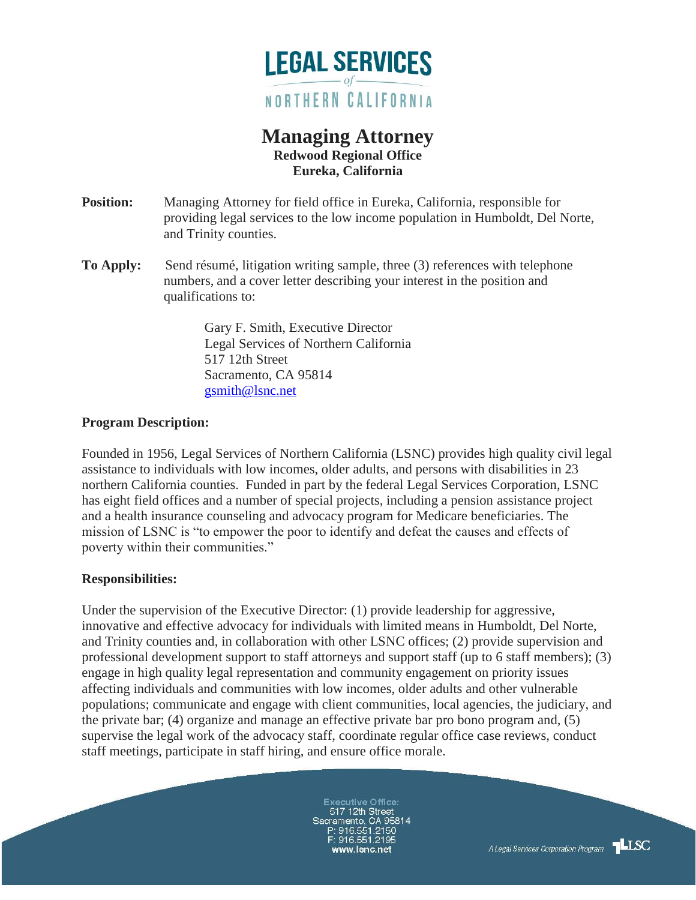

# **Managing Attorney Redwood Regional Office Eureka, California**

- **Position:** Managing Attorney for field office in Eureka, California, responsible for providing legal services to the low income population in Humboldt, Del Norte, and Trinity counties.
- **To Apply:** Send résumé, litigation writing sample, three (3) references with telephone numbers, and a cover letter describing your interest in the position and qualifications to:

 Gary F. Smith, Executive Director Legal Services of Northern California 517 12th Street Sacramento, CA 95814 [gsmith@lsnc.net](mailto:gsmith@lsnc.net)

## **Program Description:**

Founded in 1956, Legal Services of Northern California (LSNC) provides high quality civil legal assistance to individuals with low incomes, older adults, and persons with disabilities in 23 northern California counties. Funded in part by the federal Legal Services Corporation, LSNC has eight field offices and a number of special projects, including a pension assistance project and a health insurance counseling and advocacy program for Medicare beneficiaries. The mission of LSNC is "to empower the poor to identify and defeat the causes and effects of poverty within their communities."

#### **Responsibilities:**

Under the supervision of the Executive Director: (1) provide leadership for aggressive, innovative and effective advocacy for individuals with limited means in Humboldt, Del Norte, and Trinity counties and, in collaboration with other LSNC offices; (2) provide supervision and professional development support to staff attorneys and support staff (up to 6 staff members); (3) engage in high quality legal representation and community engagement on priority issues affecting individuals and communities with low incomes, older adults and other vulnerable populations; communicate and engage with client communities, local agencies, the judiciary, and the private bar; (4) organize and manage an effective private bar pro bono program and, (5) supervise the legal work of the advocacy staff, coordinate regular office case reviews, conduct staff meetings, participate in staff hiring, and ensure office morale.

> **Executive Office:** 517 12th Street Sacramento, CA 95814 .<br>P: 916.551.2150<br>F: 916.551.2195

**LLSC** A Legal Services Corporation Program